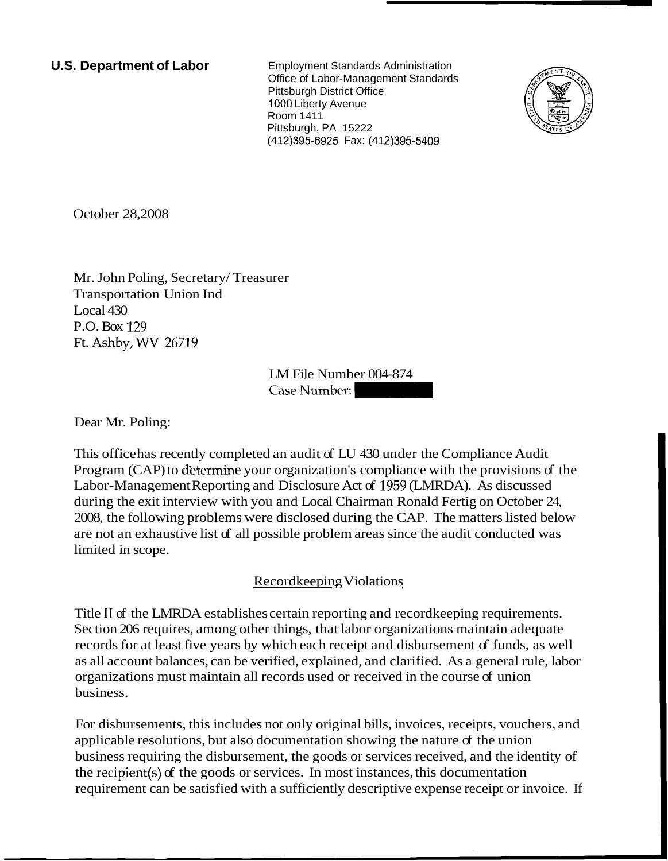**U.S. Department of Labor** Employment Standards Administration Office of Labor-Management Standards Pittsburgh District Office 1000 Liberty Avenue Room 1411 Pittsburgh, PA 15222 (412) 395-6925 Fax: (412) 395-5409



October 28,2008

Mr. John Poling, Secretary/ Treasurer Transportation Union Ind Local 430 P.O. Box 129 Ft. Ashby, WV 26719

> LM File Number 004-874 Case Number:

Dear Mr. Poling:

This office has recently completed an audit of LU 430 under the Compliance Audit Program (CAP) to d'etermine your organization's compliance with the provisions of the Labor-Management Reporting and Disclosure Act of 1959 (LMRDA). As discussed during the exit interview with you and Local Chairman Ronald Fertig on October 24, 2008, the following problems were disclosed during the CAP. The matters listed below are not an exhaustive list of all possible problem areas since the audit conducted was limited in scope.

## Recordkeeping Violations

Title I1 of the LMRDA establishes certain reporting and recordkeeping requirements. Section 206 requires, among other things, that labor organizations maintain adequate records for at least five years by which each receipt and disbursement of funds, as well as all account balances, can be verified, explained, and clarified. As a general rule, labor organizations must maintain all records used or received in the course of union business.

For disbursements, this includes not only original bills, invoices, receipts, vouchers, and applicable resolutions, but also documentation showing the nature of the union business requiring the disbursement, the goods or services received, and the identity of the recipient(s) of the goods or services. In most instances, this documentation requirement can be satisfied with a sufficiently descriptive expense receipt or invoice. If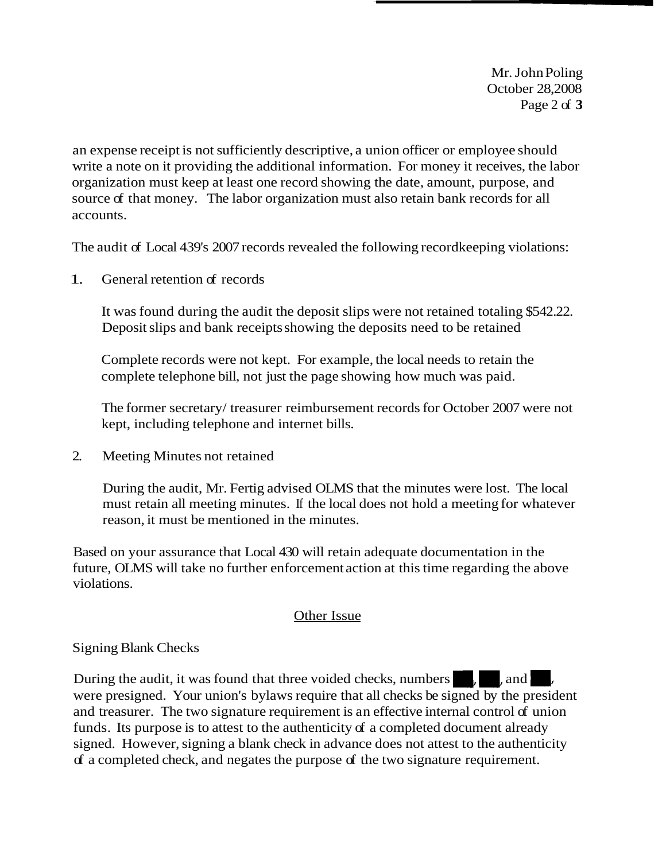Mr. John Poling October 28,2008 Page 2 of **3** 

an expense receipt is not sufficiently descriptive, a union officer or employee should write a note on it providing the additional information. For money it receives, the labor organization must keep at least one record showing the date, amount, purpose, and source of that money. The labor organization must also retain bank records for all accounts.

The audit of Local 439's 2007 records revealed the following recordkeeping violations:

1. General retention of records

It was found during the audit the deposit slips were not retained totaling \$542.22. Deposit slips and bank receipts showing the deposits need to be retained

Complete records were not kept. For example, the local needs to retain the complete telephone bill, not just the page showing how much was paid.

The former secretary/ treasurer reimbursement records for October 2007 were not kept, including telephone and internet bills.

2. Meeting Minutes not retained

During the audit, Mr. Fertig advised OLMS that the minutes were lost. The local must retain all meeting minutes. If the local does not hold a meeting for whatever reason, it must be mentioned in the minutes.

Based on your assurance that Local 430 will retain adequate documentation in the future, OLMS will take no further enforcement action at this time regarding the above violations.

## Other Issue

## Signing Blank Checks

During the audit, it was found that three voided checks, numbers **replaces**, and were presigned. Your union's bylaws require that all checks be signed by the president and treasurer. The two signature requirement is an effective internal control of union funds. Its purpose is to attest to the authenticity of a completed document already signed. However, signing a blank check in advance does not attest to the authenticity of a completed check, and negates the purpose of the two signature requirement.